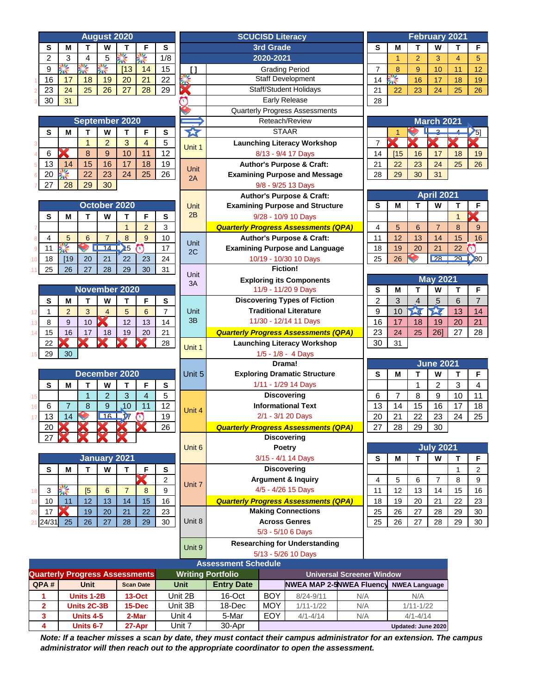| <b>August 2020</b>                                                                                    |                                       |                                                    |                | <b>SCUCISD Literacy</b> |                   |                       |                                             |     | <b>February 2021</b> |              |                      |                   |              |                    |
|-------------------------------------------------------------------------------------------------------|---------------------------------------|----------------------------------------------------|----------------|-------------------------|-------------------|-----------------------|---------------------------------------------|-----|----------------------|--------------|----------------------|-------------------|--------------|--------------------|
| s                                                                                                     | М<br>Т<br>W<br>F<br>s<br>Τ            |                                                    |                | 3rd Grade               |                   |                       |                                             | S   | М                    | т            | W                    | Τ                 | F            |                    |
| 2                                                                                                     | 3<br>5<br>4                           | 隆<br>嗓                                             | 1/8            |                         |                   | 2020-2021             |                                             |     |                      | $\mathbf{1}$ | $\overline{2}$       | 3                 | 4            | 5                  |
| 9                                                                                                     | 经<br>美学<br>Ķ                          | [13]<br>14                                         | 15             | $\mathbf{I}$            |                   | <b>Grading Period</b> |                                             |     | $\overline{7}$       | 8            | 9                    | 10                | 11           | 12                 |
| 16                                                                                                    | 17<br>18<br>19                        | 20<br>21                                           | 22             |                         |                   |                       | Staff Development                           |     | 14                   | ĶŖ           | 16                   | 17                | 18           | 19                 |
| 23                                                                                                    | 26<br>24<br>25                        | 28<br>27                                           | 29             |                         |                   |                       | <b>Staff/Student Holidays</b>               |     | 21                   | 22           | 23                   | 24                | 25           | 26                 |
| 30                                                                                                    | 31                                    |                                                    |                | Œ                       |                   |                       | Early Release                               |     | 28                   |              |                      |                   |              |                    |
|                                                                                                       |                                       |                                                    |                |                         |                   |                       | Quarterly Progress Assessments              |     |                      |              |                      |                   |              |                    |
|                                                                                                       | September 2020                        |                                                    |                |                         |                   |                       | Reteach/Review                              |     |                      |              |                      | March 2021        |              |                    |
| S                                                                                                     | M<br>T<br>W                           | $\mathbf{T}$<br>F                                  | s              | 公                       |                   | <b>STAAR</b>          |                                             |     |                      |              |                      | $\circ$           |              | $\mathcal{V}_{5]}$ |
|                                                                                                       | $\overline{2}$<br>$\mathbf{1}$        | 3<br>4                                             | 5              | Unit 1                  |                   |                       | <b>Launching Literacy Workshop</b>          |     | $\overline{7}$       |              |                      |                   |              |                    |
| 6                                                                                                     | 8<br>9                                | 10<br>11                                           | 12             |                         |                   |                       | 8/13 - 9/4 17 Days                          |     | 14                   | [15]         | 16                   | 17                | 18           | 19                 |
| 13                                                                                                    | 15<br>16<br>14                        | 17<br>18                                           | 19             | Unit                    |                   |                       | <b>Author's Purpose &amp; Craft:</b>        |     | 21                   | 22           | 23                   | 24                | 25           | 26                 |
| 20                                                                                                    | 筌<br>22<br>23                         | 25<br>24                                           | 26             | 2A                      |                   |                       | <b>Examining Purpose and Message</b>        |     | 28                   | 29           | 30                   | 31                |              |                    |
| 27                                                                                                    | 28<br>29<br>30                        |                                                    |                |                         |                   |                       | 9/8 - 9/25 13 Days                          |     |                      |              |                      |                   |              |                    |
|                                                                                                       |                                       |                                                    |                |                         |                   |                       | <b>Author's Purpose &amp; Craft:</b>        |     |                      |              |                      | <b>April 2021</b> |              |                    |
|                                                                                                       | October 2020                          |                                                    |                | <b>Unit</b>             |                   |                       | <b>Examining Purpose and Structure</b>      |     | s                    | М            | т                    | W                 | Т            | F                  |
| S                                                                                                     | T<br>W<br>М                           | T<br>F                                             | s              | 2B                      |                   |                       | 9/28 - 10/9 10 Days                         |     |                      |              |                      |                   | $\mathbf{1}$ |                    |
|                                                                                                       |                                       | $\overline{2}$<br>$\mathbf{1}$                     | 3              |                         |                   |                       | <b>Quarterly Progress Assessments (QPA)</b> |     | $\overline{4}$       | 5            | 6                    | $\overline{7}$    | 8            | 9                  |
| 4                                                                                                     | 5<br>$\overline{7}$<br>6              | 8<br>9                                             | 10             |                         |                   |                       | <b>Author's Purpose &amp; Craft:</b>        |     | 11                   | 12           | 13                   | 14                | 15           | 16                 |
| 11                                                                                                    | 筌<br>14                               | $\sum$ <sub>5</sub><br>$\bigcap$                   | 17             | <b>Unit</b><br>2C       |                   |                       | <b>Examining Purpose and Language</b>       |     | 18                   | 19           | 20                   | 21                | 22           | $\mathbf{v}$       |
| 18                                                                                                    | [19]<br>20<br>21                      | 22<br>23                                           | 24             |                         |                   |                       | 10/19 - 10/30 10 Days                       |     | 25                   | 26           |                      | 28                |              | $29$ $30$          |
| 25                                                                                                    | 26<br>27<br>28                        | 30<br>29                                           | 31             |                         |                   | <b>Fiction!</b>       |                                             |     |                      |              |                      |                   |              |                    |
|                                                                                                       |                                       |                                                    |                | <b>Unit</b>             |                   |                       | <b>Exploring its Components</b>             |     |                      |              |                      | <b>May 2021</b>   |              |                    |
|                                                                                                       | November 2020                         |                                                    |                | 3A                      |                   |                       | 11/9 - 11/20 9 Days                         |     | S                    | М            | Т                    | W                 | Т            | F                  |
| S                                                                                                     | T<br>W<br>М                           | T<br>F                                             | s              |                         |                   |                       | <b>Discovering Types of Fiction</b>         |     | $\overline{2}$       | 3            | 4                    | 5                 | 6            | $\overline{7}$     |
| $\mathbf{1}$<br>12                                                                                    | $\overline{2}$<br>3<br>$\overline{4}$ | 5<br>6                                             | $\overline{7}$ | <b>Unit</b>             |                   |                       | <b>Traditional Literature</b>               |     | 9                    | 10           | 24                   | 757               | 13           | 14                 |
| 8<br>13                                                                                               | 9<br>10                               | 13<br>12                                           | 14             | 3B                      |                   |                       | 11/30 - 12/14 11 Days                       |     | 16                   | 17           | 18                   | 19                | 20           | 21                 |
| 15<br>14                                                                                              | 16<br>17<br>18                        | 19<br>20                                           | 21             |                         |                   |                       | <b>Quarterly Progress Assessments (QPA)</b> |     | 23                   | 24           | 25                   | 26]               | 27           | 28                 |
| 22                                                                                                    |                                       |                                                    | 28             |                         |                   |                       | <b>Launching Literacy Workshop</b>          |     | 30                   | 31           |                      |                   |              |                    |
| 29                                                                                                    | 30                                    |                                                    |                | Unit 1                  |                   |                       | 1/5 - 1/8 - 4 Days                          |     |                      |              |                      |                   |              |                    |
|                                                                                                       |                                       |                                                    |                |                         |                   |                       | Drama!                                      |     |                      |              |                      | <b>June 2021</b>  |              |                    |
|                                                                                                       | December 2020                         |                                                    |                | Unit 5                  |                   |                       | <b>Exploring Dramatic Structure</b>         |     | s                    | М            | Т                    | W                 | Т            | F                  |
| S                                                                                                     | T<br>W<br>M                           | T<br>F                                             | s              |                         |                   |                       | 1/11 - 1/29 14 Days                         |     |                      |              | 1                    | $\overline{2}$    | 3            | $\overline{4}$     |
| 15                                                                                                    | $\overline{2}$<br>$\mathbf{1}$        | 3<br>$\overline{4}$                                | 5              |                         |                   | <b>Discovering</b>    |                                             |     | 6                    | 7            | 8                    | 9                 | 10           | 11                 |
| 6<br>16                                                                                               | $\overline{7}$<br>8<br>9              | 10<br>11                                           | 12             |                         |                   |                       | <b>Informational Text</b>                   |     | 13                   | 14           | 15                   | 16                | 17           | 18                 |
| 13                                                                                                    | 16 <sup>1</sup><br>14                 | $\overline{\boldsymbol{\mathcal{Y}}}$<br>$\bigcap$ | 19             | Unit 4                  |                   |                       | 2/1 - 3/1 20 Days                           |     | 20                   | 21           | 22                   | 23                | 24           | 25                 |
| 20                                                                                                    |                                       |                                                    | 26             |                         |                   |                       | <b>Quarterly Progress Assessments (QPA)</b> |     | 27                   | 28           | 29                   | 30                |              |                    |
| 27                                                                                                    |                                       |                                                    |                |                         |                   | <b>Discovering</b>    |                                             |     |                      |              |                      |                   |              |                    |
|                                                                                                       |                                       |                                                    |                | Unit 6                  |                   |                       | Poetry                                      |     |                      |              |                      | <b>July 2021</b>  |              |                    |
|                                                                                                       | <b>January 2021</b>                   |                                                    |                |                         |                   |                       | 3/15 - 4/1 14 Days                          |     | S                    | М            | т                    | W                 | Т            | F.                 |
| ${\bf s}$                                                                                             | T<br>W<br>М                           | T<br>F                                             | S              |                         |                   | <b>Discovering</b>    |                                             |     |                      |              |                      |                   | 1            | $\mathbf{2}$       |
|                                                                                                       |                                       | K                                                  | $\overline{a}$ |                         |                   |                       | <b>Argument &amp; Inquiry</b>               |     | 4                    | 5            | 6                    | $\overline{7}$    | 8            | 9                  |
| 3<br>18                                                                                               | 馨<br>[5]<br>$6\phantom{1}6$           | $\overline{7}$<br>8                                | 9              | Unit 7                  |                   |                       | 4/5 - 4/26 15 Days                          |     | 11                   | 12           | 13                   | 14                | 15           | 16                 |
| 10<br>19                                                                                              | 12<br>13<br>11                        | 15<br>14                                           | 16             |                         |                   |                       | <b>Quarterly Progress Assessments (QPA)</b> |     | 18                   | 19           | 20                   | 21                | 22           | 23                 |
| 17<br>20                                                                                              | 20<br>19                              | 21<br>22                                           | 23             |                         |                   |                       | <b>Making Connections</b>                   |     | 25                   | 26           | 27                   | 28                | 29           | 30                 |
| 24/31<br>$\overline{2}$ 1                                                                             | 25<br>26<br>27                        | 29<br>28                                           | 30             | Unit 8                  |                   | <b>Across Genres</b>  |                                             |     | 25                   | 26           | 27                   | 28                | 29           | 30                 |
|                                                                                                       |                                       |                                                    |                |                         |                   |                       | 5/3 - 5/10 6 Days                           |     |                      |              |                      |                   |              |                    |
|                                                                                                       |                                       |                                                    |                |                         |                   |                       | <b>Researching for Understanding</b>        |     |                      |              |                      |                   |              |                    |
|                                                                                                       |                                       |                                                    |                | Unit 9                  |                   |                       |                                             |     |                      |              |                      |                   |              |                    |
| 5/13 - 5/26 10 Days<br><b>Assessment Schedule</b>                                                     |                                       |                                                    |                |                         |                   |                       |                                             |     |                      |              |                      |                   |              |                    |
| <b>Quarterly Progress Assessments</b><br><b>Writing Portfolio</b><br><b>Universal Screener Window</b> |                                       |                                                    |                |                         |                   |                       |                                             |     |                      |              |                      |                   |              |                    |
| QPA#                                                                                                  | <b>Unit</b>                           | <b>Scan Date</b>                                   |                | Unit                    | <b>Entry Date</b> |                       | <b>NWEA MAP 2-5NWEA Fluency</b>             |     |                      |              | <b>NWEA Language</b> |                   |              |                    |
| 1                                                                                                     | <b>Units 1-2B</b>                     | <b>13-Oct</b>                                      |                | Unit 2B                 | 16-Oct            | <b>BOY</b>            | 8/24-9/11                                   | N/A |                      |              | N/A                  |                   |              |                    |
| $\overline{\mathbf{2}}$                                                                               | Units 2C-3B                           | 15-Dec                                             |                | Unit 3B                 | 18-Dec            | MOY                   | $1/11 - 1/22$                               | N/A |                      |              | $1/11 - 1/22$        |                   |              |                    |
| $\mathbf{3}$                                                                                          | Units 4-5                             | 2-Mar                                              |                | Unit 4                  | 5-Mar             | EOY                   | $4/1 - 4/14$                                | N/A |                      |              | $4/1 - 4/14$         |                   |              |                    |

*Note: If a teacher misses a scan by date, they must contact their campus administrator for an extension. The campus administrator will then reach out to the appropriate coordinator to open the assessment.*

**4 Units 6-7 27-Apr** Unit 7 30-Apr **Updated: June 2020**